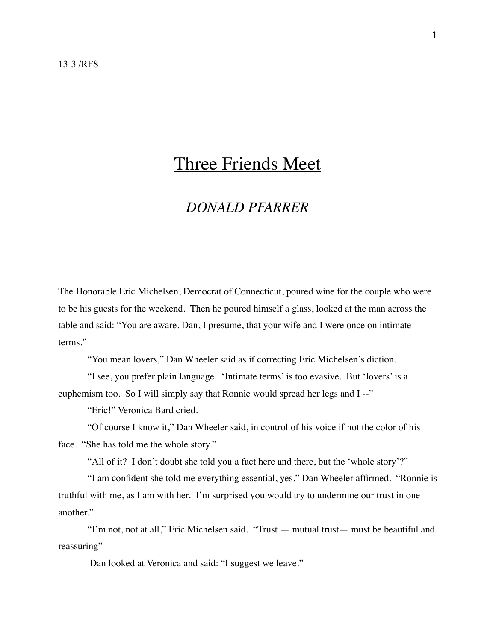## Three Friends Meet

## *DONALD PFARRER*

The Honorable Eric Michelsen, Democrat of Connecticut, poured wine for the couple who were to be his guests for the weekend. Then he poured himself a glass, looked at the man across the table and said: "You are aware, Dan, I presume, that your wife and I were once on intimate terms."

"You mean lovers," Dan Wheeler said as if correcting Eric Michelsen's diction.

"I see, you prefer plain language. 'Intimate terms' is too evasive. But 'lovers' is a euphemism too. So I will simply say that Ronnie would spread her legs and I --"

"Eric!" Veronica Bard cried.

"Of course I know it," Dan Wheeler said, in control of his voice if not the color of his face. "She has told me the whole story."

"All of it? I don't doubt she told you a fact here and there, but the 'whole story'?"

"I am confident she told me everything essential, yes," Dan Wheeler affirmed. "Ronnie is truthful with me, as I am with her. I'm surprised you would try to undermine our trust in one another."

"I'm not, not at all," Eric Michelsen said. "Trust — mutual trust— must be beautiful and reassuring"

Dan looked at Veronica and said: "I suggest we leave."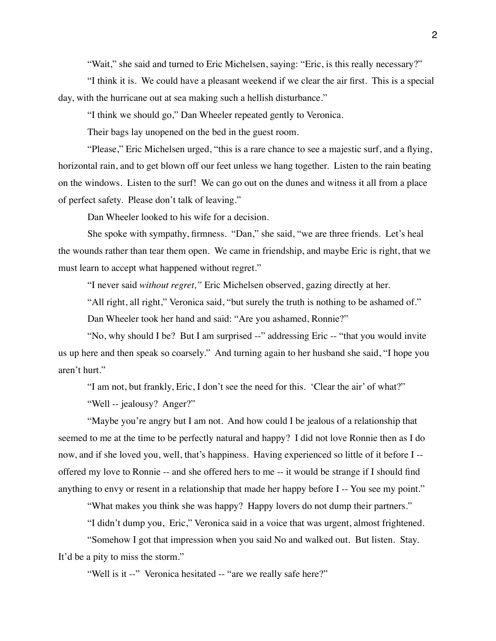"Wait," she said and turned to Eric Michelsen, saying: "Eric, is this really necessary?"

"I think it is. We could have a pleasant weekend if we clear the air first. This is a special day, with the hurricane out at sea making such a hellish disturbance."

"I think we should go," Dan Wheeler repeated gently to Veronica.

Their bags lay unopened on the bed in the guest room.

"Please," Eric Michelsen urged, "this is a rare chance to see a majestic surf, and a flying, horizontal rain, and to get blown off our feet unless we hang together. Listen to the rain beating on the windows. Listen to the surf! We can go out on the dunes and witness it all from a place of perfect safety. Please don't talk of leaving."

Dan Wheeler looked to his wife for a decision.

She spoke with sympathy, firmness. "Dan," she said, "we are three friends. Let's heal the wounds rather than tear them open. We came in friendship, and maybe Eric is right, that we must learn to accept what happened without regret."

"I never said *without regret,"* Eric Michelsen observed, gazing directly at her.

"All right, all right," Veronica said, "but surely the truth is nothing to be ashamed of." Dan Wheeler took her hand and said: "Are you ashamed, Ronnie?"

"No, why should I be? But I am surprised --" addressing Eric -- "that you would invite us up here and then speak so coarsely." And turning again to her husband she said, "I hope you aren't hurt."

"I am not, but frankly, Eric, I don't see the need for this. 'Clear the air' of what?"

"Well -- jealousy? Anger?"

"Maybe you're angry but I am not. And how could I be jealous of a relationship that seemed to me at the time to be perfectly natural and happy? I did not love Ronnie then as I do now, and if she loved you, well, that's happiness. Having experienced so little of it before I - offered my love to Ronnie -- and she offered hers to me -- it would be strange if I should find anything to envy or resent in a relationship that made her happy before I -- You see my point."

"What makes you think she was happy? Happy lovers do not dump their partners."

"I didn't dump you, Eric," Veronica said in a voice that was urgent, almost frightened.

"Somehow I got that impression when you said No and walked out. But listen. Stay. It'd be a pity to miss the storm."

"Well is it --" Veronica hesitated -- "are we really safe here?"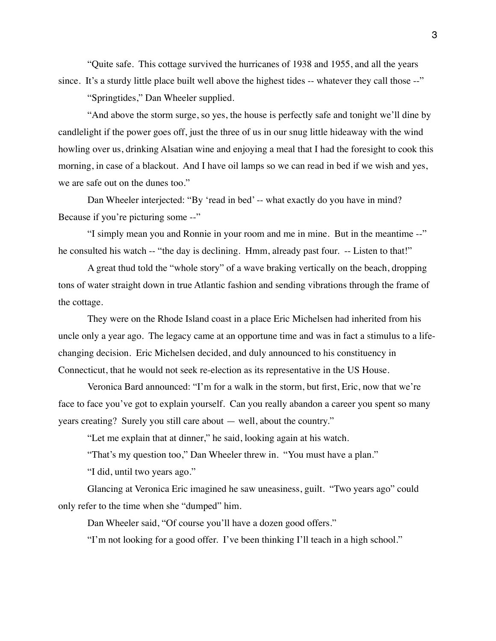"Quite safe. This cottage survived the hurricanes of 1938 and 1955, and all the years since. It's a sturdy little place built well above the highest tides -- whatever they call those --"

"Springtides," Dan Wheeler supplied.

"And above the storm surge, so yes, the house is perfectly safe and tonight we'll dine by candlelight if the power goes off, just the three of us in our snug little hideaway with the wind howling over us, drinking Alsatian wine and enjoying a meal that I had the foresight to cook this morning, in case of a blackout. And I have oil lamps so we can read in bed if we wish and yes, we are safe out on the dunes too."

Dan Wheeler interjected: "By 'read in bed' -- what exactly do you have in mind? Because if you're picturing some --"

"I simply mean you and Ronnie in your room and me in mine. But in the meantime --" he consulted his watch -- "the day is declining. Hmm, already past four. -- Listen to that!"

A great thud told the "whole story" of a wave braking vertically on the beach, dropping tons of water straight down in true Atlantic fashion and sending vibrations through the frame of the cottage.

They were on the Rhode Island coast in a place Eric Michelsen had inherited from his uncle only a year ago. The legacy came at an opportune time and was in fact a stimulus to a lifechanging decision. Eric Michelsen decided, and duly announced to his constituency in Connecticut, that he would not seek re-election as its representative in the US House.

Veronica Bard announced: "I'm for a walk in the storm, but first, Eric, now that we're face to face you've got to explain yourself. Can you really abandon a career you spent so many years creating? Surely you still care about — well, about the country."

"Let me explain that at dinner," he said, looking again at his watch.

"That's my question too," Dan Wheeler threw in. "You must have a plan."

"I did, until two years ago."

Glancing at Veronica Eric imagined he saw uneasiness, guilt. "Two years ago" could only refer to the time when she "dumped" him.

Dan Wheeler said, "Of course you'll have a dozen good offers."

"I'm not looking for a good offer. I've been thinking I'll teach in a high school."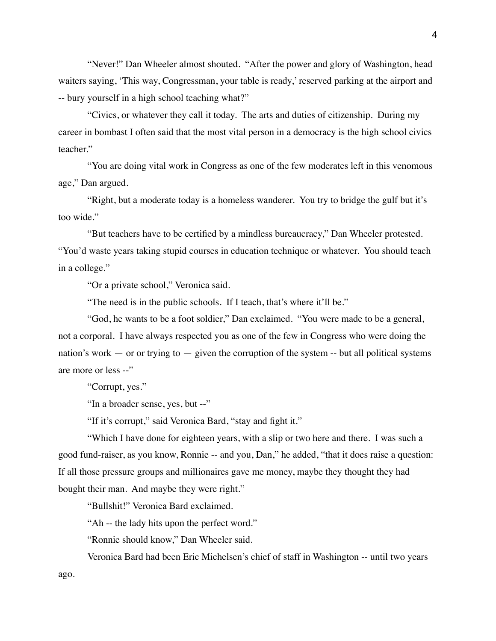"Never!" Dan Wheeler almost shouted. "After the power and glory of Washington, head waiters saying, 'This way, Congressman, your table is ready,' reserved parking at the airport and -- bury yourself in a high school teaching what?"

"Civics, or whatever they call it today. The arts and duties of citizenship. During my career in bombast I often said that the most vital person in a democracy is the high school civics teacher."

"You are doing vital work in Congress as one of the few moderates left in this venomous age," Dan argued.

"Right, but a moderate today is a homeless wanderer. You try to bridge the gulf but it's too wide."

"But teachers have to be certified by a mindless bureaucracy," Dan Wheeler protested. "You'd waste years taking stupid courses in education technique or whatever. You should teach in a college."

"Or a private school," Veronica said.

"The need is in the public schools. If I teach, that's where it'll be."

"God, he wants to be a foot soldier," Dan exclaimed. "You were made to be a general, not a corporal. I have always respected you as one of the few in Congress who were doing the nation's work  $-$  or or trying to  $-$  given the corruption of the system  $-$  but all political systems are more or less --"

"Corrupt, yes."

"In a broader sense, yes, but --"

"If it's corrupt," said Veronica Bard, "stay and fight it."

"Which I have done for eighteen years, with a slip or two here and there. I was such a good fund-raiser, as you know, Ronnie -- and you, Dan," he added, "that it does raise a question: If all those pressure groups and millionaires gave me money, maybe they thought they had bought their man. And maybe they were right."

"Bullshit!" Veronica Bard exclaimed.

"Ah -- the lady hits upon the perfect word."

"Ronnie should know," Dan Wheeler said.

Veronica Bard had been Eric Michelsen's chief of staff in Washington -- until two years ago.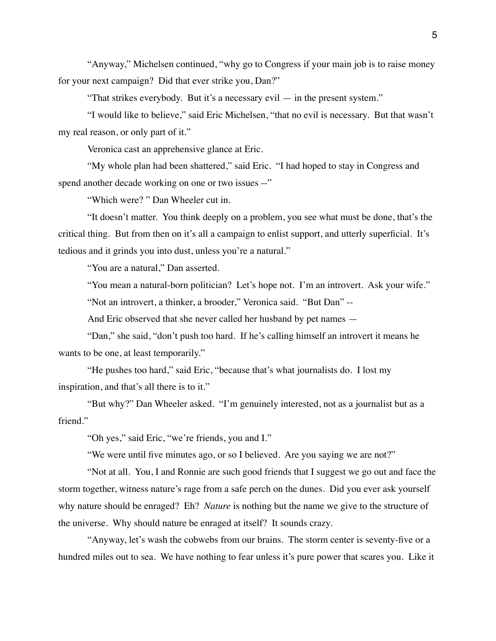"Anyway," Michelsen continued, "why go to Congress if your main job is to raise money for your next campaign? Did that ever strike you, Dan?"

"That strikes everybody. But it's a necessary evil — in the present system."

"I would like to believe," said Eric Michelsen, "that no evil is necessary. But that wasn't my real reason, or only part of it."

Veronica cast an apprehensive glance at Eric.

"My whole plan had been shattered," said Eric. "I had hoped to stay in Congress and spend another decade working on one or two issues --"

"Which were? " Dan Wheeler cut in.

"It doesn't matter. You think deeply on a problem, you see what must be done, that's the critical thing. But from then on it's all a campaign to enlist support, and utterly superficial. It's tedious and it grinds you into dust, unless you're a natural."

"You are a natural," Dan asserted.

"You mean a natural-born politician? Let's hope not. I'm an introvert. Ask your wife."

"Not an introvert, a thinker, a brooder," Veronica said. "But Dan" --

And Eric observed that she never called her husband by pet names —

"Dan," she said, "don't push too hard. If he's calling himself an introvert it means he wants to be one, at least temporarily."

"He pushes too hard," said Eric, "because that's what journalists do. I lost my inspiration, and that's all there is to it."

"But why?" Dan Wheeler asked. "I'm genuinely interested, not as a journalist but as a friend."

"Oh yes," said Eric, "we're friends, you and I."

"We were until five minutes ago, or so I believed. Are you saying we are not?"

"Not at all. You, I and Ronnie are such good friends that I suggest we go out and face the storm together, witness nature's rage from a safe perch on the dunes. Did you ever ask yourself why nature should be enraged? Eh? *Nature* is nothing but the name we give to the structure of the universe. Why should nature be enraged at itself? It sounds crazy.

"Anyway, let's wash the cobwebs from our brains. The storm center is seventy-five or a hundred miles out to sea. We have nothing to fear unless it's pure power that scares you. Like it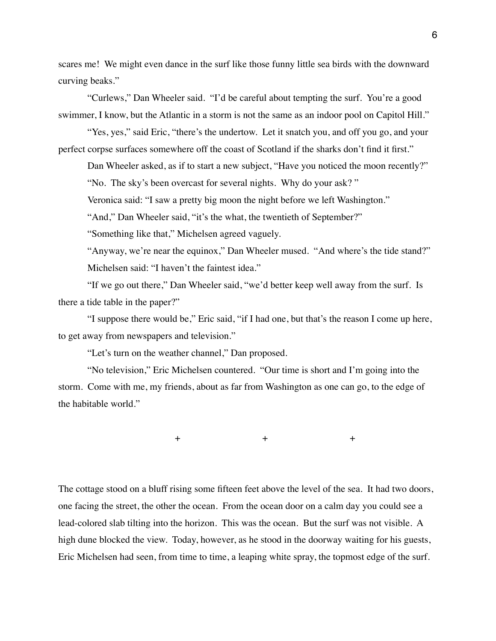scares me! We might even dance in the surf like those funny little sea birds with the downward curving beaks."

"Curlews," Dan Wheeler said. "I'd be careful about tempting the surf. You're a good swimmer, I know, but the Atlantic in a storm is not the same as an indoor pool on Capitol Hill."

"Yes, yes," said Eric, "there's the undertow. Let it snatch you, and off you go, and your perfect corpse surfaces somewhere off the coast of Scotland if the sharks don't find it first."

Dan Wheeler asked, as if to start a new subject, "Have you noticed the moon recently?"

"No. The sky's been overcast for several nights. Why do your ask? "

Veronica said: "I saw a pretty big moon the night before we left Washington."

"And," Dan Wheeler said, "it's the what, the twentieth of September?"

"Something like that," Michelsen agreed vaguely.

"Anyway, we're near the equinox," Dan Wheeler mused. "And where's the tide stand?" Michelsen said: "I haven't the faintest idea."

"If we go out there," Dan Wheeler said, "we'd better keep well away from the surf. Is there a tide table in the paper?"

"I suppose there would be," Eric said, "if I had one, but that's the reason I come up here, to get away from newspapers and television."

"Let's turn on the weather channel," Dan proposed.

"No television," Eric Michelsen countered. "Our time is short and I'm going into the storm. Come with me, my friends, about as far from Washington as one can go, to the edge of the habitable world."

 $+$  +  $+$ 

The cottage stood on a bluff rising some fifteen feet above the level of the sea. It had two doors, one facing the street, the other the ocean. From the ocean door on a calm day you could see a lead-colored slab tilting into the horizon. This was the ocean. But the surf was not visible. A high dune blocked the view. Today, however, as he stood in the doorway waiting for his guests, Eric Michelsen had seen, from time to time, a leaping white spray, the topmost edge of the surf.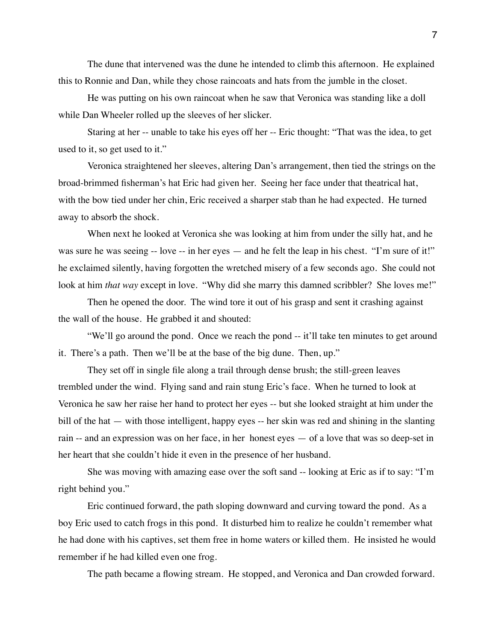The dune that intervened was the dune he intended to climb this afternoon. He explained this to Ronnie and Dan, while they chose raincoats and hats from the jumble in the closet.

He was putting on his own raincoat when he saw that Veronica was standing like a doll while Dan Wheeler rolled up the sleeves of her slicker.

Staring at her -- unable to take his eyes off her -- Eric thought: "That was the idea, to get used to it, so get used to it."

Veronica straightened her sleeves, altering Dan's arrangement, then tied the strings on the broad-brimmed fisherman's hat Eric had given her. Seeing her face under that theatrical hat, with the bow tied under her chin, Eric received a sharper stab than he had expected. He turned away to absorb the shock.

When next he looked at Veronica she was looking at him from under the silly hat, and he was sure he was seeing -- love -- in her eyes — and he felt the leap in his chest. "I'm sure of it!" he exclaimed silently, having forgotten the wretched misery of a few seconds ago. She could not look at him *that way* except in love. "Why did she marry this damned scribbler? She loves me!"

Then he opened the door. The wind tore it out of his grasp and sent it crashing against the wall of the house. He grabbed it and shouted:

"We'll go around the pond. Once we reach the pond -- it'll take ten minutes to get around it. There's a path. Then we'll be at the base of the big dune. Then, up."

They set off in single file along a trail through dense brush; the still-green leaves trembled under the wind. Flying sand and rain stung Eric's face. When he turned to look at Veronica he saw her raise her hand to protect her eyes -- but she looked straight at him under the bill of the hat — with those intelligent, happy eyes -- her skin was red and shining in the slanting rain -- and an expression was on her face, in her honest eyes — of a love that was so deep-set in her heart that she couldn't hide it even in the presence of her husband.

She was moving with amazing ease over the soft sand -- looking at Eric as if to say: "I'm right behind you."

Eric continued forward, the path sloping downward and curving toward the pond. As a boy Eric used to catch frogs in this pond. It disturbed him to realize he couldn't remember what he had done with his captives, set them free in home waters or killed them. He insisted he would remember if he had killed even one frog.

The path became a flowing stream. He stopped, and Veronica and Dan crowded forward.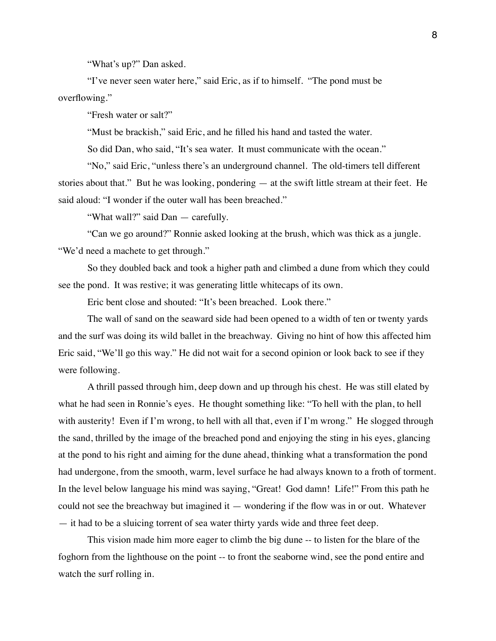"What's up?" Dan asked.

"I've never seen water here," said Eric, as if to himself. "The pond must be overflowing."

"Fresh water or salt?"

"Must be brackish," said Eric, and he filled his hand and tasted the water.

So did Dan, who said, "It's sea water. It must communicate with the ocean."

"No," said Eric, "unless there's an underground channel. The old-timers tell different stories about that." But he was looking, pondering — at the swift little stream at their feet. He said aloud: "I wonder if the outer wall has been breached."

"What wall?" said Dan — carefully.

"Can we go around?" Ronnie asked looking at the brush, which was thick as a jungle. "We'd need a machete to get through."

So they doubled back and took a higher path and climbed a dune from which they could see the pond. It was restive; it was generating little whitecaps of its own.

Eric bent close and shouted: "It's been breached. Look there."

The wall of sand on the seaward side had been opened to a width of ten or twenty yards and the surf was doing its wild ballet in the breachway. Giving no hint of how this affected him Eric said, "We'll go this way." He did not wait for a second opinion or look back to see if they were following.

A thrill passed through him, deep down and up through his chest. He was still elated by what he had seen in Ronnie's eyes. He thought something like: "To hell with the plan, to hell with austerity! Even if I'm wrong, to hell with all that, even if I'm wrong." He slogged through the sand, thrilled by the image of the breached pond and enjoying the sting in his eyes, glancing at the pond to his right and aiming for the dune ahead, thinking what a transformation the pond had undergone, from the smooth, warm, level surface he had always known to a froth of torment. In the level below language his mind was saying, "Great! God damn! Life!" From this path he could not see the breachway but imagined it — wondering if the flow was in or out. Whatever — it had to be a sluicing torrent of sea water thirty yards wide and three feet deep.

This vision made him more eager to climb the big dune -- to listen for the blare of the foghorn from the lighthouse on the point -- to front the seaborne wind, see the pond entire and watch the surf rolling in.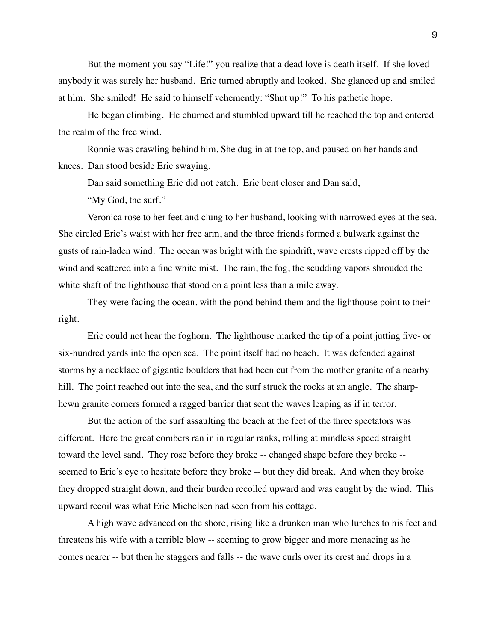But the moment you say "Life!" you realize that a dead love is death itself. If she loved anybody it was surely her husband. Eric turned abruptly and looked. She glanced up and smiled at him. She smiled! He said to himself vehemently: "Shut up!" To his pathetic hope.

He began climbing. He churned and stumbled upward till he reached the top and entered the realm of the free wind.

Ronnie was crawling behind him. She dug in at the top, and paused on her hands and knees. Dan stood beside Eric swaying.

Dan said something Eric did not catch. Eric bent closer and Dan said,

"My God, the surf."

Veronica rose to her feet and clung to her husband, looking with narrowed eyes at the sea. She circled Eric's waist with her free arm, and the three friends formed a bulwark against the gusts of rain-laden wind. The ocean was bright with the spindrift, wave crests ripped off by the wind and scattered into a fine white mist. The rain, the fog, the scudding vapors shrouded the white shaft of the lighthouse that stood on a point less than a mile away.

They were facing the ocean, with the pond behind them and the lighthouse point to their right.

Eric could not hear the foghorn. The lighthouse marked the tip of a point jutting five- or six-hundred yards into the open sea. The point itself had no beach. It was defended against storms by a necklace of gigantic boulders that had been cut from the mother granite of a nearby hill. The point reached out into the sea, and the surf struck the rocks at an angle. The sharphewn granite corners formed a ragged barrier that sent the waves leaping as if in terror.

But the action of the surf assaulting the beach at the feet of the three spectators was different. Here the great combers ran in in regular ranks, rolling at mindless speed straight toward the level sand. They rose before they broke -- changed shape before they broke - seemed to Eric's eye to hesitate before they broke -- but they did break. And when they broke they dropped straight down, and their burden recoiled upward and was caught by the wind. This upward recoil was what Eric Michelsen had seen from his cottage.

A high wave advanced on the shore, rising like a drunken man who lurches to his feet and threatens his wife with a terrible blow -- seeming to grow bigger and more menacing as he comes nearer -- but then he staggers and falls -- the wave curls over its crest and drops in a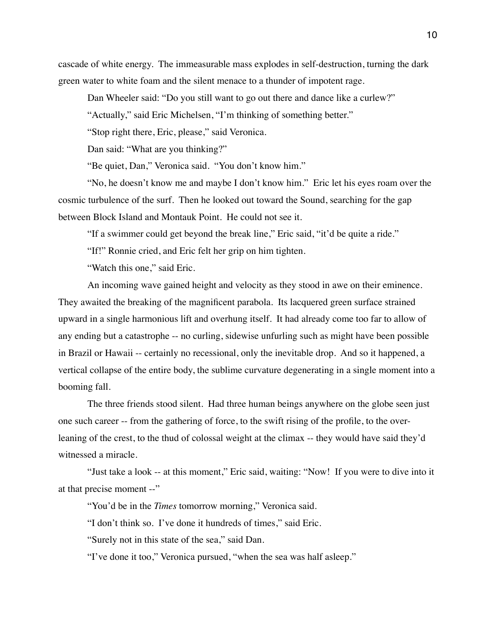cascade of white energy. The immeasurable mass explodes in self-destruction, turning the dark green water to white foam and the silent menace to a thunder of impotent rage.

Dan Wheeler said: "Do you still want to go out there and dance like a curlew?"

"Actually," said Eric Michelsen, "I'm thinking of something better."

"Stop right there, Eric, please," said Veronica.

Dan said: "What are you thinking?"

"Be quiet, Dan," Veronica said. "You don't know him."

"No, he doesn't know me and maybe I don't know him." Eric let his eyes roam over the cosmic turbulence of the surf. Then he looked out toward the Sound, searching for the gap between Block Island and Montauk Point. He could not see it.

"If a swimmer could get beyond the break line," Eric said, "it'd be quite a ride."

"If!" Ronnie cried, and Eric felt her grip on him tighten.

"Watch this one," said Eric.

An incoming wave gained height and velocity as they stood in awe on their eminence. They awaited the breaking of the magnificent parabola. Its lacquered green surface strained upward in a single harmonious lift and overhung itself. It had already come too far to allow of any ending but a catastrophe -- no curling, sidewise unfurling such as might have been possible in Brazil or Hawaii -- certainly no recessional, only the inevitable drop. And so it happened, a vertical collapse of the entire body, the sublime curvature degenerating in a single moment into a booming fall.

The three friends stood silent. Had three human beings anywhere on the globe seen just one such career -- from the gathering of force, to the swift rising of the profile, to the overleaning of the crest, to the thud of colossal weight at the climax -- they would have said they'd witnessed a miracle.

"Just take a look -- at this moment," Eric said, waiting: "Now! If you were to dive into it at that precise moment --"

"You'd be in the *Times* tomorrow morning," Veronica said.

"I don't think so. I've done it hundreds of times," said Eric.

"Surely not in this state of the sea," said Dan.

"I've done it too," Veronica pursued, "when the sea was half asleep."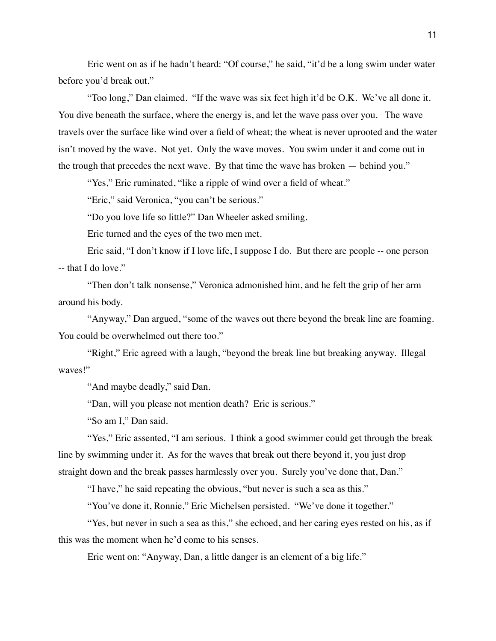Eric went on as if he hadn't heard: "Of course," he said, "it'd be a long swim under water before you'd break out."

"Too long," Dan claimed. "If the wave was six feet high it'd be O.K. We've all done it. You dive beneath the surface, where the energy is, and let the wave pass over you. The wave travels over the surface like wind over a field of wheat; the wheat is never uprooted and the water isn't moved by the wave. Not yet. Only the wave moves. You swim under it and come out in the trough that precedes the next wave. By that time the wave has broken — behind you."

"Yes," Eric ruminated, "like a ripple of wind over a field of wheat."

"Eric," said Veronica, "you can't be serious."

"Do you love life so little?" Dan Wheeler asked smiling.

Eric turned and the eyes of the two men met.

Eric said, "I don't know if I love life, I suppose I do. But there are people -- one person -- that I do love."

"Then don't talk nonsense," Veronica admonished him, and he felt the grip of her arm around his body.

"Anyway," Dan argued, "some of the waves out there beyond the break line are foaming. You could be overwhelmed out there too."

"Right," Eric agreed with a laugh, "beyond the break line but breaking anyway. Illegal waves!"

"And maybe deadly," said Dan.

"Dan, will you please not mention death? Eric is serious."

"So am I," Dan said.

"Yes," Eric assented, "I am serious. I think a good swimmer could get through the break line by swimming under it. As for the waves that break out there beyond it, you just drop straight down and the break passes harmlessly over you. Surely you've done that, Dan."

"I have," he said repeating the obvious, "but never is such a sea as this."

"You've done it, Ronnie," Eric Michelsen persisted. "We've done it together."

"Yes, but never in such a sea as this," she echoed, and her caring eyes rested on his, as if this was the moment when he'd come to his senses.

Eric went on: "Anyway, Dan, a little danger is an element of a big life."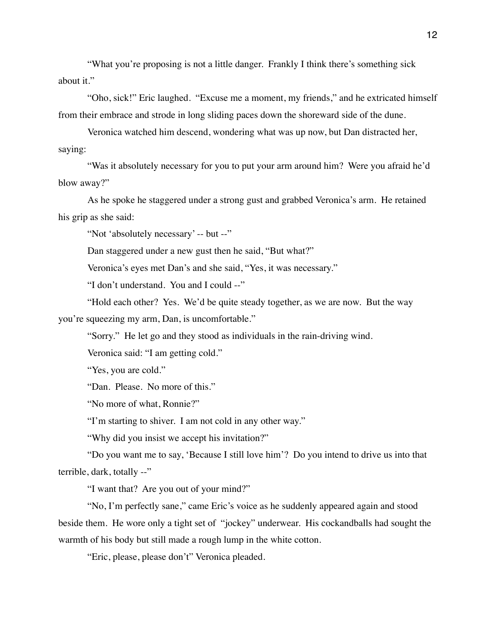"What you're proposing is not a little danger. Frankly I think there's something sick about it."

"Oho, sick!" Eric laughed. "Excuse me a moment, my friends," and he extricated himself from their embrace and strode in long sliding paces down the shoreward side of the dune.

Veronica watched him descend, wondering what was up now, but Dan distracted her, saying:

"Was it absolutely necessary for you to put your arm around him? Were you afraid he'd blow away?"

As he spoke he staggered under a strong gust and grabbed Veronica's arm. He retained his grip as she said:

"Not 'absolutely necessary' -- but --"

Dan staggered under a new gust then he said, "But what?"

Veronica's eyes met Dan's and she said, "Yes, it was necessary."

"I don't understand. You and I could --"

"Hold each other? Yes. We'd be quite steady together, as we are now. But the way you're squeezing my arm, Dan, is uncomfortable."

"Sorry." He let go and they stood as individuals in the rain-driving wind.

Veronica said: "I am getting cold."

"Yes, you are cold."

"Dan. Please. No more of this."

"No more of what, Ronnie?"

"I'm starting to shiver. I am not cold in any other way."

"Why did you insist we accept his invitation?"

"Do you want me to say, 'Because I still love him'? Do you intend to drive us into that terrible, dark, totally --"

"I want that? Are you out of your mind?"

"No, I'm perfectly sane," came Eric's voice as he suddenly appeared again and stood beside them. He wore only a tight set of "jockey" underwear. His cockandballs had sought the warmth of his body but still made a rough lump in the white cotton.

"Eric, please, please don't" Veronica pleaded.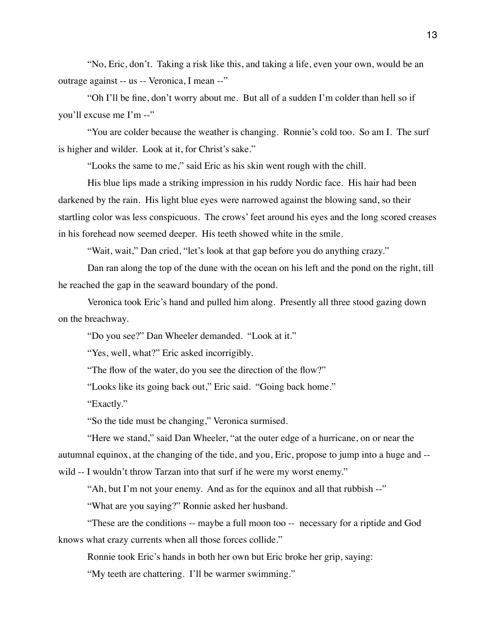"No, Eric, don't. Taking a risk like this, and taking a life, even your own, would be an outrage against -- us -- Veronica, I mean --"

"Oh I'll be fine, don't worry about me. But all of a sudden I'm colder than hell so if you'll excuse me I'm --"

"You are colder because the weather is changing. Ronnie's cold too. So am I. The surf is higher and wilder. Look at it, for Christ's sake."

"Looks the same to me," said Eric as his skin went rough with the chill.

His blue lips made a striking impression in his ruddy Nordic face. His hair had been darkened by the rain. His light blue eyes were narrowed against the blowing sand, so their startling color was less conspicuous. The crows' feet around his eyes and the long scored creases in his forehead now seemed deeper. His teeth showed white in the smile.

"Wait, wait," Dan cried, "let's look at that gap before you do anything crazy."

Dan ran along the top of the dune with the ocean on his left and the pond on the right, till he reached the gap in the seaward boundary of the pond.

Veronica took Eric's hand and pulled him along. Presently all three stood gazing down on the breachway.

"Do you see?" Dan Wheeler demanded. "Look at it."

"Yes, well, what?" Eric asked incorrigibly.

"The flow of the water, do you see the direction of the flow?"

"Looks like its going back out," Eric said. "Going back home."

"Exactly."

"So the tide must be changing," Veronica surmised.

"Here we stand," said Dan Wheeler, "at the outer edge of a hurricane, on or near the autumnal equinox, at the changing of the tide, and you, Eric, propose to jump into a huge and - wild -- I wouldn't throw Tarzan into that surf if he were my worst enemy."

"Ah, but I'm not your enemy. And as for the equinox and all that rubbish --"

"What are you saying?" Ronnie asked her husband.

"These are the conditions -- maybe a full moon too -- necessary for a riptide and God knows what crazy currents when all those forces collide."

Ronnie took Eric's hands in both her own but Eric broke her grip, saying:

"My teeth are chattering. I'll be warmer swimming."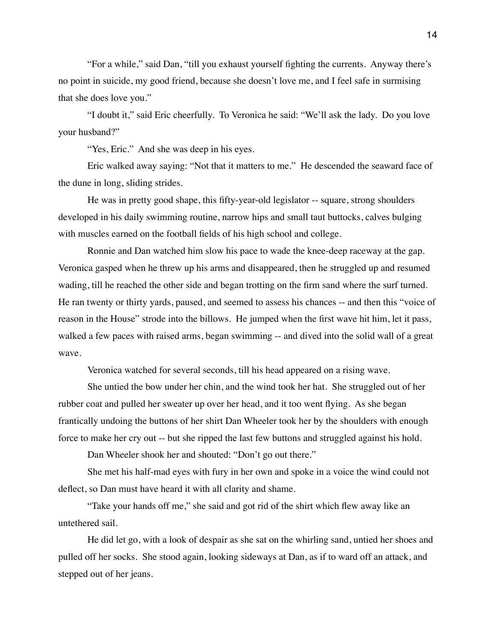"For a while," said Dan, "till you exhaust yourself fighting the currents. Anyway there's no point in suicide, my good friend, because she doesn't love me, and I feel safe in surmising that she does love you."

"I doubt it," said Eric cheerfully. To Veronica he said: "We'll ask the lady. Do you love your husband?"

"Yes, Eric." And she was deep in his eyes.

Eric walked away saying: "Not that it matters to me." He descended the seaward face of the dune in long, sliding strides.

He was in pretty good shape, this fifty-year-old legislator -- square, strong shoulders developed in his daily swimming routine, narrow hips and small taut buttocks, calves bulging with muscles earned on the football fields of his high school and college.

Ronnie and Dan watched him slow his pace to wade the knee-deep raceway at the gap. Veronica gasped when he threw up his arms and disappeared, then he struggled up and resumed wading, till he reached the other side and began trotting on the firm sand where the surf turned. He ran twenty or thirty yards, paused, and seemed to assess his chances -- and then this "voice of reason in the House" strode into the billows. He jumped when the first wave hit him, let it pass, walked a few paces with raised arms, began swimming -- and dived into the solid wall of a great wave.

Veronica watched for several seconds, till his head appeared on a rising wave.

She untied the bow under her chin, and the wind took her hat. She struggled out of her rubber coat and pulled her sweater up over her head, and it too went flying. As she began frantically undoing the buttons of her shirt Dan Wheeler took her by the shoulders with enough force to make her cry out -- but she ripped the last few buttons and struggled against his hold.

Dan Wheeler shook her and shouted: "Don't go out there."

She met his half-mad eyes with fury in her own and spoke in a voice the wind could not deflect, so Dan must have heard it with all clarity and shame.

"Take your hands off me," she said and got rid of the shirt which flew away like an untethered sail.

He did let go, with a look of despair as she sat on the whirling sand, untied her shoes and pulled off her socks. She stood again, looking sideways at Dan, as if to ward off an attack, and stepped out of her jeans.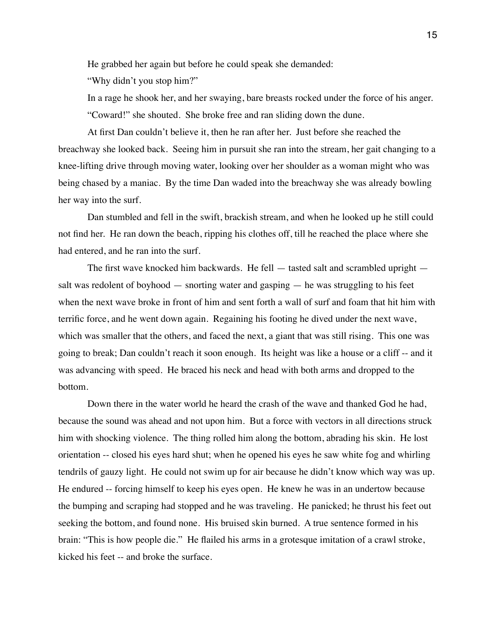He grabbed her again but before he could speak she demanded:

"Why didn't you stop him?"

In a rage he shook her, and her swaying, bare breasts rocked under the force of his anger. "Coward!" she shouted. She broke free and ran sliding down the dune.

At first Dan couldn't believe it, then he ran after her. Just before she reached the breachway she looked back. Seeing him in pursuit she ran into the stream, her gait changing to a knee-lifting drive through moving water, looking over her shoulder as a woman might who was being chased by a maniac. By the time Dan waded into the breachway she was already bowling her way into the surf.

Dan stumbled and fell in the swift, brackish stream, and when he looked up he still could not find her. He ran down the beach, ripping his clothes off, till he reached the place where she had entered, and he ran into the surf.

The first wave knocked him backwards. He fell — tasted salt and scrambled upright salt was redolent of boyhood — snorting water and gasping — he was struggling to his feet when the next wave broke in front of him and sent forth a wall of surf and foam that hit him with terrific force, and he went down again. Regaining his footing he dived under the next wave, which was smaller that the others, and faced the next, a giant that was still rising. This one was going to break; Dan couldn't reach it soon enough. Its height was like a house or a cliff -- and it was advancing with speed. He braced his neck and head with both arms and dropped to the bottom.

Down there in the water world he heard the crash of the wave and thanked God he had, because the sound was ahead and not upon him. But a force with vectors in all directions struck him with shocking violence. The thing rolled him along the bottom, abrading his skin. He lost orientation -- closed his eyes hard shut; when he opened his eyes he saw white fog and whirling tendrils of gauzy light. He could not swim up for air because he didn't know which way was up. He endured -- forcing himself to keep his eyes open. He knew he was in an undertow because the bumping and scraping had stopped and he was traveling. He panicked; he thrust his feet out seeking the bottom, and found none. His bruised skin burned. A true sentence formed in his brain: "This is how people die." He flailed his arms in a grotesque imitation of a crawl stroke, kicked his feet -- and broke the surface.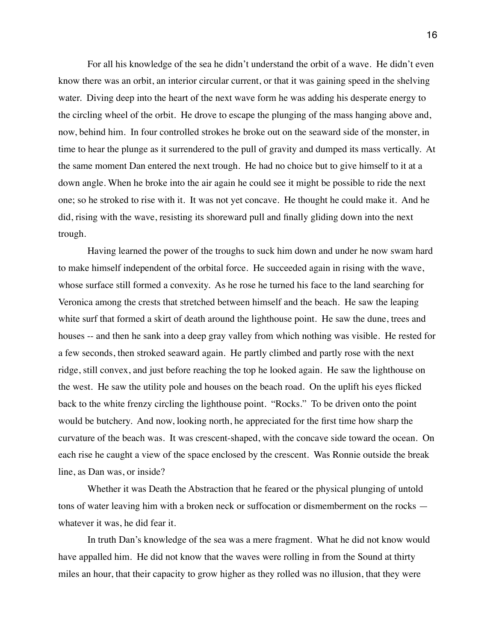For all his knowledge of the sea he didn't understand the orbit of a wave. He didn't even know there was an orbit, an interior circular current, or that it was gaining speed in the shelving water. Diving deep into the heart of the next wave form he was adding his desperate energy to the circling wheel of the orbit. He drove to escape the plunging of the mass hanging above and, now, behind him. In four controlled strokes he broke out on the seaward side of the monster, in time to hear the plunge as it surrendered to the pull of gravity and dumped its mass vertically. At the same moment Dan entered the next trough. He had no choice but to give himself to it at a down angle. When he broke into the air again he could see it might be possible to ride the next one; so he stroked to rise with it. It was not yet concave. He thought he could make it. And he did, rising with the wave, resisting its shoreward pull and finally gliding down into the next trough.

Having learned the power of the troughs to suck him down and under he now swam hard to make himself independent of the orbital force. He succeeded again in rising with the wave, whose surface still formed a convexity. As he rose he turned his face to the land searching for Veronica among the crests that stretched between himself and the beach. He saw the leaping white surf that formed a skirt of death around the lighthouse point. He saw the dune, trees and houses -- and then he sank into a deep gray valley from which nothing was visible. He rested for a few seconds, then stroked seaward again. He partly climbed and partly rose with the next ridge, still convex, and just before reaching the top he looked again. He saw the lighthouse on the west. He saw the utility pole and houses on the beach road. On the uplift his eyes flicked back to the white frenzy circling the lighthouse point. "Rocks." To be driven onto the point would be butchery. And now, looking north, he appreciated for the first time how sharp the curvature of the beach was. It was crescent-shaped, with the concave side toward the ocean. On each rise he caught a view of the space enclosed by the crescent. Was Ronnie outside the break line, as Dan was, or inside?

Whether it was Death the Abstraction that he feared or the physical plunging of untold tons of water leaving him with a broken neck or suffocation or dismemberment on the rocks whatever it was, he did fear it.

In truth Dan's knowledge of the sea was a mere fragment. What he did not know would have appalled him. He did not know that the waves were rolling in from the Sound at thirty miles an hour, that their capacity to grow higher as they rolled was no illusion, that they were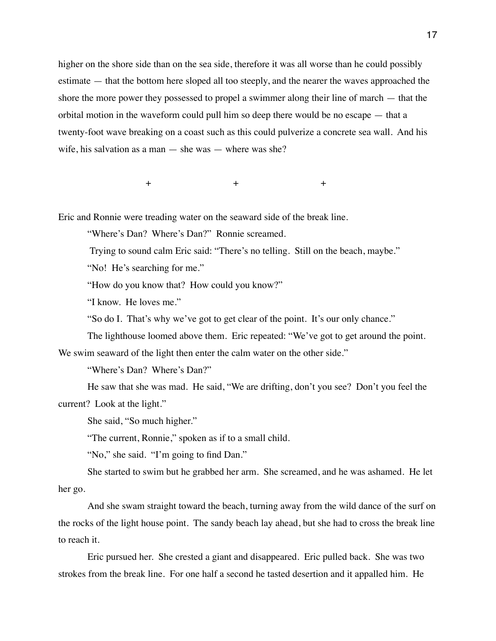higher on the shore side than on the sea side, therefore it was all worse than he could possibly estimate — that the bottom here sloped all too steeply, and the nearer the waves approached the shore the more power they possessed to propel a swimmer along their line of march — that the orbital motion in the waveform could pull him so deep there would be no escape — that a twenty-foot wave breaking on a coast such as this could pulverize a concrete sea wall. And his wife, his salvation as a man — she was — where was she?

 $+$  +  $+$ 

Eric and Ronnie were treading water on the seaward side of the break line.

"Where's Dan? Where's Dan?" Ronnie screamed.

Trying to sound calm Eric said: "There's no telling. Still on the beach, maybe."

"No! He's searching for me."

"How do you know that? How could you know?"

"I know. He loves me."

"So do I. That's why we've got to get clear of the point. It's our only chance."

The lighthouse loomed above them. Eric repeated: "We've got to get around the point.

We swim seaward of the light then enter the calm water on the other side."

"Where's Dan? Where's Dan?"

He saw that she was mad. He said, "We are drifting, don't you see? Don't you feel the current? Look at the light."

She said, "So much higher."

"The current, Ronnie," spoken as if to a small child.

"No," she said. "I'm going to find Dan."

She started to swim but he grabbed her arm. She screamed, and he was ashamed. He let her go.

And she swam straight toward the beach, turning away from the wild dance of the surf on the rocks of the light house point. The sandy beach lay ahead, but she had to cross the break line to reach it.

Eric pursued her. She crested a giant and disappeared. Eric pulled back. She was two strokes from the break line. For one half a second he tasted desertion and it appalled him. He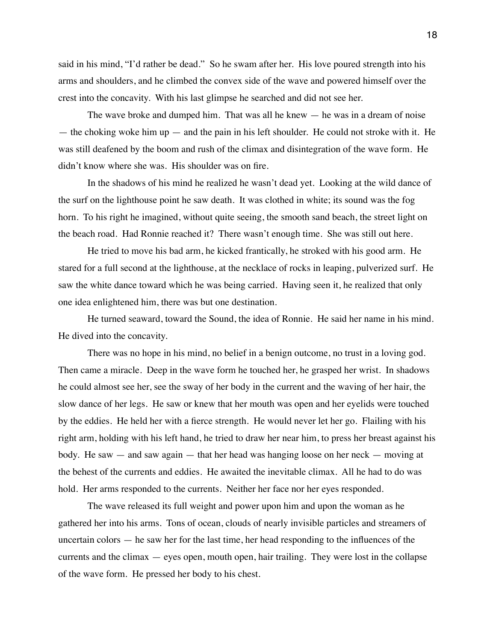said in his mind, "I'd rather be dead." So he swam after her. His love poured strength into his arms and shoulders, and he climbed the convex side of the wave and powered himself over the crest into the concavity. With his last glimpse he searched and did not see her.

The wave broke and dumped him. That was all he knew — he was in a dream of noise — the choking woke him up — and the pain in his left shoulder. He could not stroke with it. He was still deafened by the boom and rush of the climax and disintegration of the wave form. He didn't know where she was. His shoulder was on fire.

In the shadows of his mind he realized he wasn't dead yet. Looking at the wild dance of the surf on the lighthouse point he saw death. It was clothed in white; its sound was the fog horn. To his right he imagined, without quite seeing, the smooth sand beach, the street light on the beach road. Had Ronnie reached it? There wasn't enough time. She was still out here.

He tried to move his bad arm, he kicked frantically, he stroked with his good arm. He stared for a full second at the lighthouse, at the necklace of rocks in leaping, pulverized surf. He saw the white dance toward which he was being carried. Having seen it, he realized that only one idea enlightened him, there was but one destination.

He turned seaward, toward the Sound, the idea of Ronnie. He said her name in his mind. He dived into the concavity.

There was no hope in his mind, no belief in a benign outcome, no trust in a loving god. Then came a miracle. Deep in the wave form he touched her, he grasped her wrist. In shadows he could almost see her, see the sway of her body in the current and the waving of her hair, the slow dance of her legs. He saw or knew that her mouth was open and her eyelids were touched by the eddies. He held her with a fierce strength. He would never let her go. Flailing with his right arm, holding with his left hand, he tried to draw her near him, to press her breast against his body. He saw — and saw again — that her head was hanging loose on her neck — moving at the behest of the currents and eddies. He awaited the inevitable climax. All he had to do was hold. Her arms responded to the currents. Neither her face nor her eyes responded.

The wave released its full weight and power upon him and upon the woman as he gathered her into his arms. Tons of ocean, clouds of nearly invisible particles and streamers of uncertain colors — he saw her for the last time, her head responding to the influences of the currents and the climax  $-$  eyes open, mouth open, hair trailing. They were lost in the collapse of the wave form. He pressed her body to his chest.